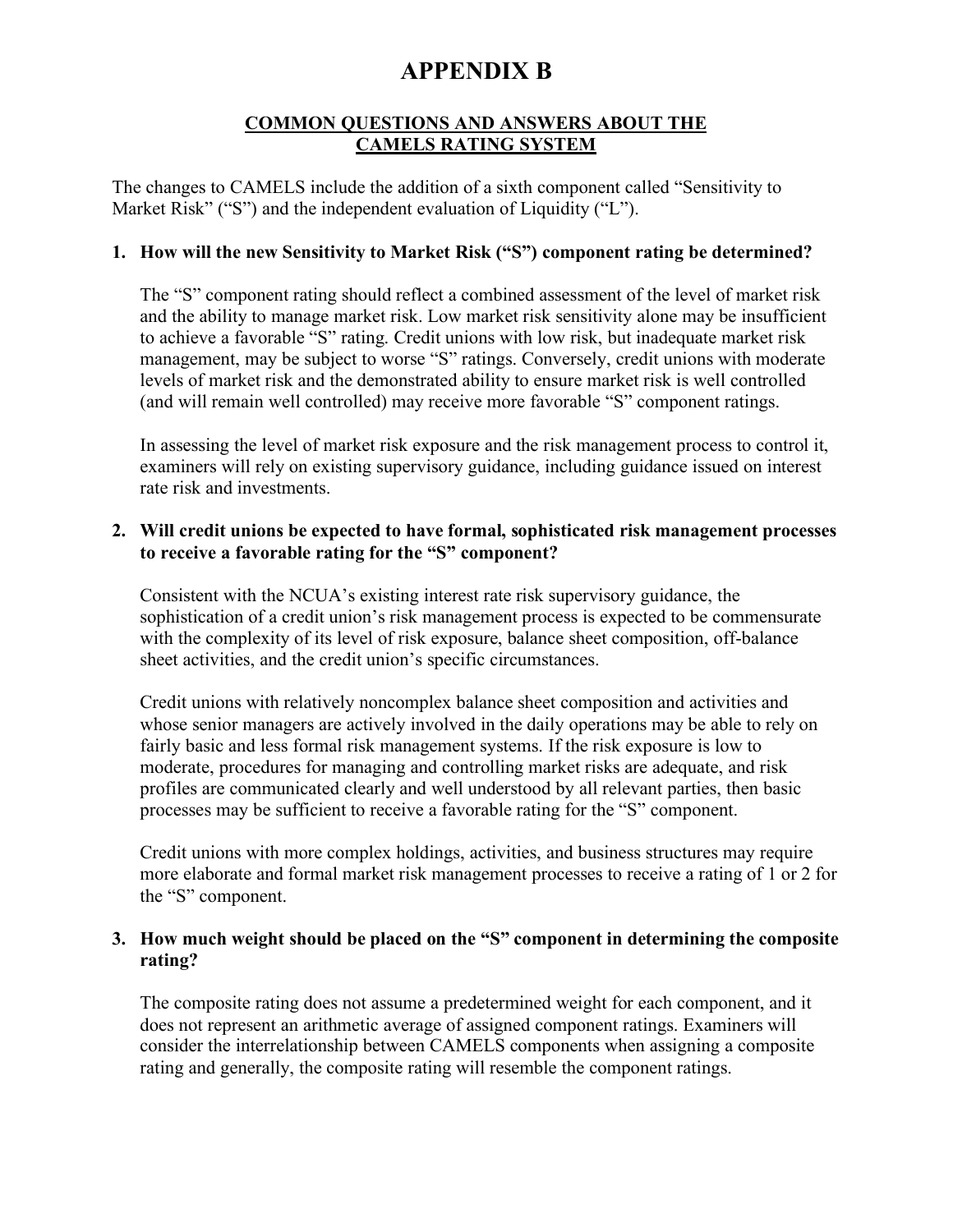### **COMMON QUESTIONS AND ANSWERS ABOUT THE CAMELS RATING SYSTEM**

The changes to CAMELS include the addition of a sixth component called "Sensitivity to Market Risk" ("S") and the independent evaluation of Liquidity ("L").

#### **1. How will the new Sensitivity to Market Risk ("S") component rating be determined?**

The "S" component rating should reflect a combined assessment of the level of market risk and the ability to manage market risk. Low market risk sensitivity alone may be insufficient to achieve a favorable "S" rating. Credit unions with low risk, but inadequate market risk management, may be subject to worse "S" ratings. Conversely, credit unions with moderate levels of market risk and the demonstrated ability to ensure market risk is well controlled (and will remain well controlled) may receive more favorable "S" component ratings.

In assessing the level of market risk exposure and the risk management process to control it, examiners will rely on existing supervisory guidance, including guidance issued on interest rate risk and investments.

#### **2. Will credit unions be expected to have formal, sophisticated risk management processes to receive a favorable rating for the "S" component?**

Consistent with the NCUA's existing interest rate risk supervisory guidance, the sophistication of a credit union's risk management process is expected to be commensurate with the complexity of its level of risk exposure, balance sheet composition, off-balance sheet activities, and the credit union's specific circumstances.

Credit unions with relatively noncomplex balance sheet composition and activities and whose senior managers are actively involved in the daily operations may be able to rely on fairly basic and less formal risk management systems. If the risk exposure is low to moderate, procedures for managing and controlling market risks are adequate, and risk profiles are communicated clearly and well understood by all relevant parties, then basic processes may be sufficient to receive a favorable rating for the "S" component.

Credit unions with more complex holdings, activities, and business structures may require more elaborate and formal market risk management processes to receive a rating of 1 or 2 for the "S" component.

#### **3. How much weight should be placed on the "S" component in determining the composite rating?**

The composite rating does not assume a predetermined weight for each component, and it does not represent an arithmetic average of assigned component ratings. Examiners will consider the interrelationship between CAMELS components when assigning a composite rating and generally, the composite rating will resemble the component ratings.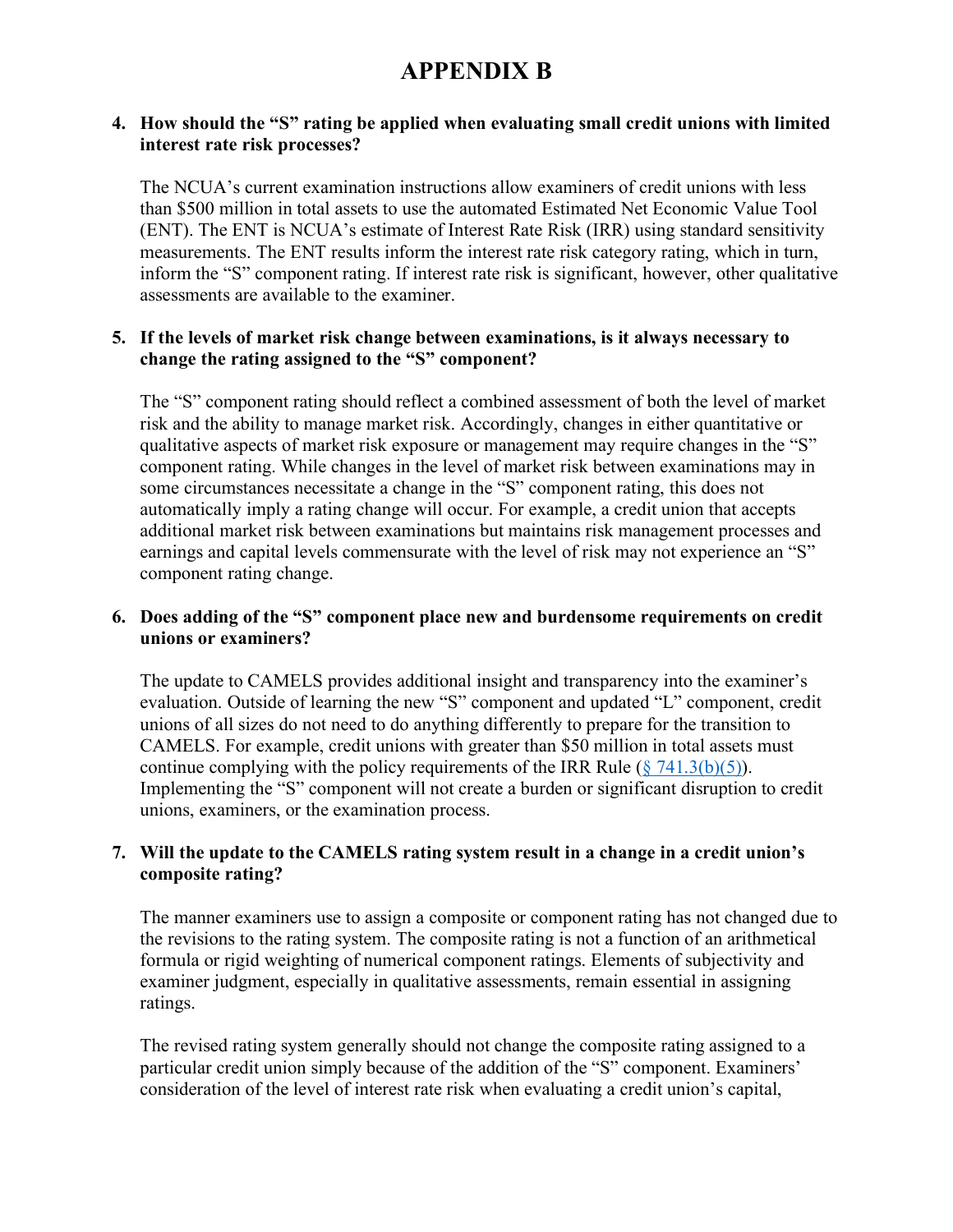#### **4. How should the "S" rating be applied when evaluating small credit unions with limited interest rate risk processes?**

The NCUA's current examination instructions allow examiners of credit unions with less than \$500 million in total assets to use the automated Estimated Net Economic Value Tool (ENT). The ENT is NCUA's estimate of Interest Rate Risk (IRR) using standard sensitivity measurements. The ENT results inform the interest rate risk category rating, which in turn, inform the "S" component rating. If interest rate risk is significant, however, other qualitative assessments are available to the examiner.

#### **5. If the levels of market risk change between examinations, is it always necessary to change the rating assigned to the "S" component?**

The "S" component rating should reflect a combined assessment of both the level of market risk and the ability to manage market risk. Accordingly, changes in either quantitative or qualitative aspects of market risk exposure or management may require changes in the "S" component rating. While changes in the level of market risk between examinations may in some circumstances necessitate a change in the "S" component rating, this does not automatically imply a rating change will occur. For example, a credit union that accepts additional market risk between examinations but maintains risk management processes and earnings and capital levels commensurate with the level of risk may not experience an "S" component rating change.

### **6. Does adding of the "S" component place new and burdensome requirements on credit unions or examiners?**

The update to CAMELS provides additional insight and transparency into the examiner's evaluation. Outside of learning the new "S" component and updated "L" component, credit unions of all sizes do not need to do anything differently to prepare for the transition to CAMELS. For example, credit unions with greater than \$50 million in total assets must continue complying with the policy requirements of the IRR Rule ( $\frac{8}{7}$  741.3(b)(5)). Implementing the "S" component will not create a burden or significant disruption to credit unions, examiners, or the examination process.

## **7. Will the update to the CAMELS rating system result in a change in a credit union's composite rating?**

The manner examiners use to assign a composite or component rating has not changed due to the revisions to the rating system. The composite rating is not a function of an arithmetical formula or rigid weighting of numerical component ratings. Elements of subjectivity and examiner judgment, especially in qualitative assessments, remain essential in assigning ratings.

The revised rating system generally should not change the composite rating assigned to a particular credit union simply because of the addition of the "S" component. Examiners' consideration of the level of interest rate risk when evaluating a credit union's capital,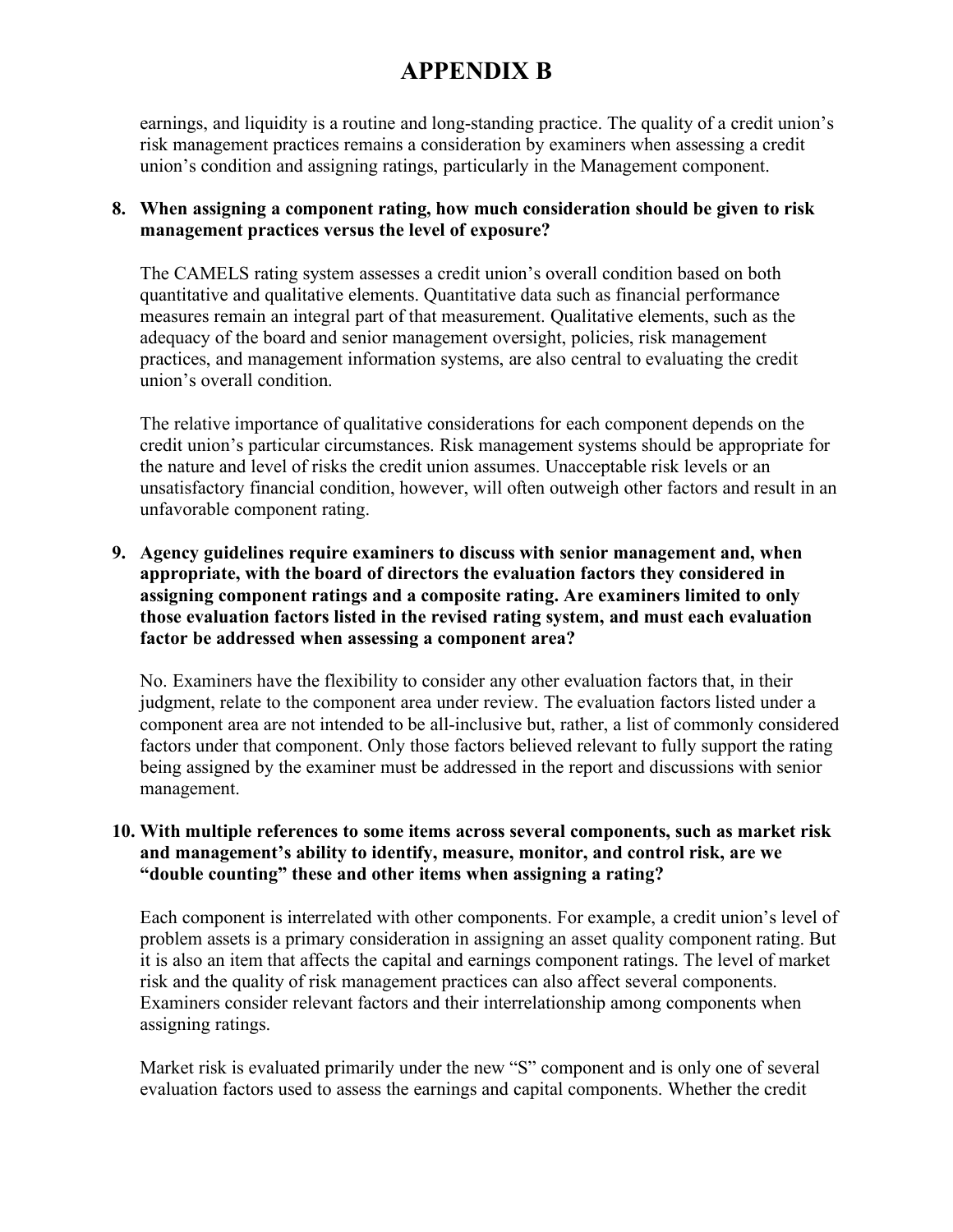earnings, and liquidity is a routine and long-standing practice. The quality of a credit union's risk management practices remains a consideration by examiners when assessing a credit union's condition and assigning ratings, particularly in the Management component.

## **8. When assigning a component rating, how much consideration should be given to risk management practices versus the level of exposure?**

The CAMELS rating system assesses a credit union's overall condition based on both quantitative and qualitative elements. Quantitative data such as financial performance measures remain an integral part of that measurement. Qualitative elements, such as the adequacy of the board and senior management oversight, policies, risk management practices, and management information systems, are also central to evaluating the credit union's overall condition.

The relative importance of qualitative considerations for each component depends on the credit union's particular circumstances. Risk management systems should be appropriate for the nature and level of risks the credit union assumes. Unacceptable risk levels or an unsatisfactory financial condition, however, will often outweigh other factors and result in an unfavorable component rating.

### **9. Agency guidelines require examiners to discuss with senior management and, when appropriate, with the board of directors the evaluation factors they considered in assigning component ratings and a composite rating. Are examiners limited to only those evaluation factors listed in the revised rating system, and must each evaluation factor be addressed when assessing a component area?**

No. Examiners have the flexibility to consider any other evaluation factors that, in their judgment, relate to the component area under review. The evaluation factors listed under a component area are not intended to be all-inclusive but, rather, a list of commonly considered factors under that component. Only those factors believed relevant to fully support the rating being assigned by the examiner must be addressed in the report and discussions with senior management.

## **10. With multiple references to some items across several components, such as market risk and management's ability to identify, measure, monitor, and control risk, are we "double counting" these and other items when assigning a rating?**

Each component is interrelated with other components. For example, a credit union's level of problem assets is a primary consideration in assigning an asset quality component rating. But it is also an item that affects the capital and earnings component ratings. The level of market risk and the quality of risk management practices can also affect several components. Examiners consider relevant factors and their interrelationship among components when assigning ratings.

Market risk is evaluated primarily under the new "S" component and is only one of several evaluation factors used to assess the earnings and capital components. Whether the credit